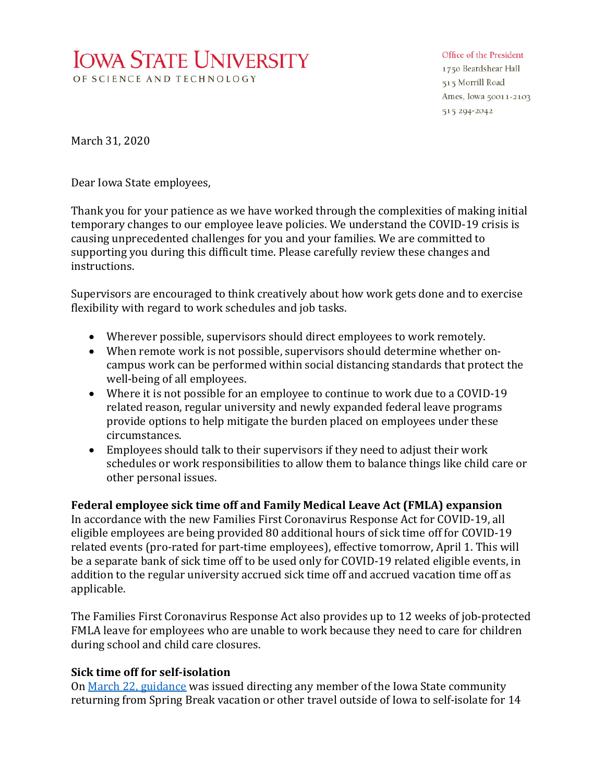# **IOWA STATE UNIVERSITY** OF SCIENCE AND TECHNOLOGY

#### Office of the President

1750 Beardshear Hall 515 Morrill Road Ames, Iowa 50011-2103 515 294-2042

March 31, 2020

Dear Iowa State employees,

Thank you for your patience as we have worked through the complexities of making initial temporary changes to our employee leave policies. We understand the COVID-19 crisis is causing unprecedented challenges for you and your families. We are committed to supporting you during this difficult time. Please carefully review these changes and instructions.

Supervisors are encouraged to think creatively about how work gets done and to exercise flexibility with regard to work schedules and job tasks.

- Wherever possible, supervisors should direct employees to work remotely.
- When remote work is not possible, supervisors should determine whether oncampus work can be performed within social distancing standards that protect the well-being of all employees.
- Where it is not possible for an employee to continue to work due to a COVID-19 related reason, regular university and newly expanded federal leave programs provide options to help mitigate the burden placed on employees under these circumstances.
- Employees should talk to their supervisors if they need to adjust their work schedules or work responsibilities to allow them to balance things like child care or other personal issues.

**Federal employee sick time off and Family Medical Leave Act (FMLA) expansion** In accordance with the new Families First Coronavirus Response Act for COVID-19, all eligible employees are being provided 80 additional hours of sick time off for COVID-19 related events (pro-rated for part-time employees), effective tomorrow, April 1. This will be a separate bank of sick time off to be used only for COVID-19 related eligible events, in addition to the regular university accrued sick time off and accrued vacation time off as applicable.

The Families First Coronavirus Response Act also provides up to 12 weeks of job-protected FMLA leave for employees who are unable to work because they need to care for children during school and child care closures.

# **Sick time off for self-isolation**

On [March 22, guidance](https://www.president.iastate.edu/sites/default/files/communications/President) was issued directing any member of the Iowa State community returning from Spring Break vacation or other travel outside of Iowa to self-isolate for 14